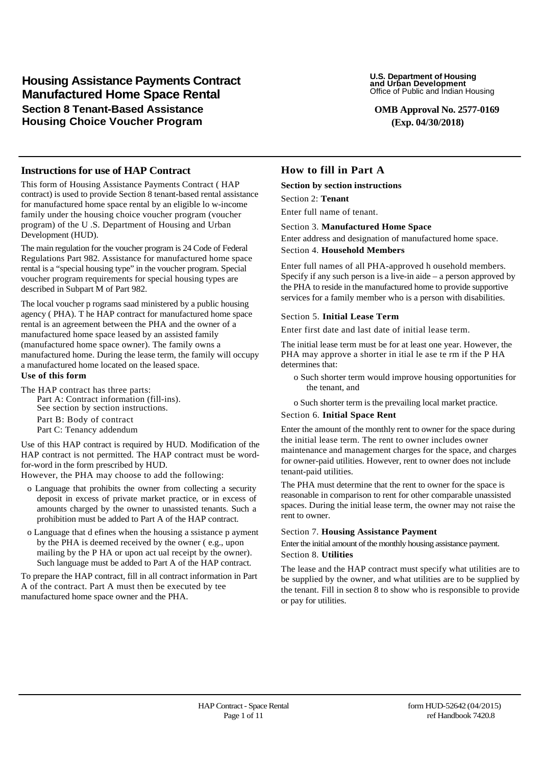# **Housing Assistance Payments Contract Manufactured Home Space Rental Section 8 Tenant-Based Assistance COMB** Approval No. 2577-0169 **Housing Choice Voucher Program (Exp. 04/30/2018)**

#### **U.S. Department of Housing and Urban Development** Office of Public and Indian Housing

## **Instructions for use of HAP Contract**

This form of Housing Assistance Payments Contract ( HAP contract) is used to provide Section 8 tenant-based rental assistance for manufactured home space rental by an eligible lo w-income family under the housing choice voucher program (voucher program) of the U .S. Department of Housing and Urban Development (HUD).

The main regulation for the voucher program is 24 Code of Federal Regulations Part 982. Assistance for manufactured home space rental is a "special housing type" in the voucher program. Special voucher program requirements for special housing types are described in Subpart M of Part 982.

The local voucher p rograms saad ministered by a public housing agency ( PHA). T he HAP contract for manufactured home space rental is an agreement between the PHA and the owner of a manufactured home space leased by an assisted family (manufactured home space owner). The family owns a manufactured home. During the lease term, the family will occupy a manufactured home located on the leased space.

## **Use of this form**

The HAP contract has three parts: Part A: Contract information (fill-ins). See section by section instructions. Part B: Body of contract Part C: Tenancy addendum

Use of this HAP contract is required by HUD. Modification of the HAP contract is not permitted. The HAP contract must be wordfor-word in the form prescribed by HUD.

However, the PHA may choose to add the following:

- o Language that prohibits the owner from collecting a security deposit in excess of private market practice, or in excess of amounts charged by the owner to unassisted tenants. Such a prohibition must be added to Part A of the HAP contract.
- o Language that d efines when the housing a ssistance p ayment by the PHA is deemed received by the owner ( e.g., upon mailing by the P HA or upon act ual receipt by the owner). Such language must be added to Part A of the HAP contract.

To prepare the HAP contract, fill in all contract information in Part A of the contract. Part A must then be executed by tee manufactured home space owner and the PHA.

# **How to fill in Part A**

# **Section by section instructions**

Section 2: **Tenant**

Enter full name of tenant.

## Section 3. **Manufactured Home Space**

Enter address and designation of manufactured home space. Section 4. **Household Members**

Enter full names of all PHA-approved h ousehold members. Specify if any such person is a live-in aide  $-$  a person approved by the PHA to reside in the manufactured home to provide supportive services for a family member who is a person with disabilities.

#### Section 5. **Initial Lease Term**

Enter first date and last date of initial lease term.

The initial lease term must be for at least one year. However, the PHA may approve a shorter in itial le ase te rm if the P HA determines that:

- o Such shorter term would improve housing opportunities for the tenant, and
- o Such shorter term is the prevailing local market practice.

#### Section 6. **Initial Space Rent**

Enter the amount of the monthly rent to owner for the space during the initial lease term. The rent to owner includes owner maintenance and management charges for the space, and charges for owner-paid utilities. However, rent to owner does not include tenant-paid utilities.

The PHA must determine that the rent to owner for the space is reasonable in comparison to rent for other comparable unassisted spaces. During the initial lease term, the owner may not raise the rent to owner.

#### Section 7. **Housing Assistance Payment**

Enter the initial amount of the monthly housing assistance payment. Section 8. **Utilities**

The lease and the HAP contract must specify what utilities are to be supplied by the owner, and what utilities are to be supplied by the tenant. Fill in section 8 to show who is responsible to provide or pay for utilities.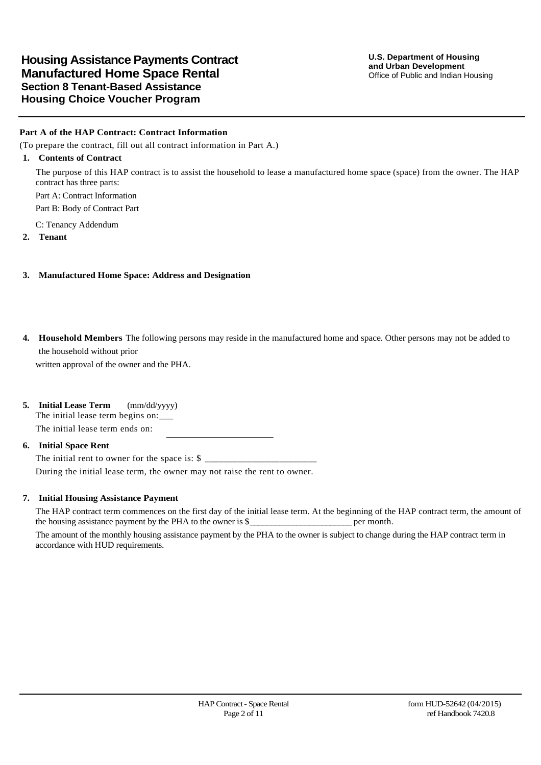#### **Part A of the HAP Contract: Contract Information**

(To prepare the contract, fill out all contract information in Part A.)

**1. Contents of Contract**

The purpose of this HAP contract is to assist the household to lease a manufactured home space (space) from the owner. The HAP contract has three parts: Part A: Contract Information

Part B: Body of Contract Part

C: Tenancy Addendum

- **2. Tenant**
- **3. Manufactured Home Space: Address and Designation**
- **4. Household Members** The following persons may reside in the manufactured home and space. Other persons may not be added to the household without prior

written approval of the owner and the PHA.

**5. Initial Lease Term** (mm/dd/yyyy) The initial lease term begins on:\_\_\_ The initial lease term ends on:

## **6. Initial Space Rent**

The initial rent to owner for the space is:  $\frac{1}{2}$ 

During the initial lease term, the owner may not raise the rent to owner.

#### **7. Initial Housing Assistance Payment**

The HAP contract term commences on the first day of the initial lease term. At the beginning of the HAP contract term, the amount of the housing assistance payment by the PHA to the owner is \$\_\_\_\_\_\_\_\_\_\_\_\_\_\_\_\_\_\_\_\_\_\_\_\_ per month.

The amount of the monthly housing assistance payment by the PHA to the owner is subject to change during the HAP contract term in accordance with HUD requirements.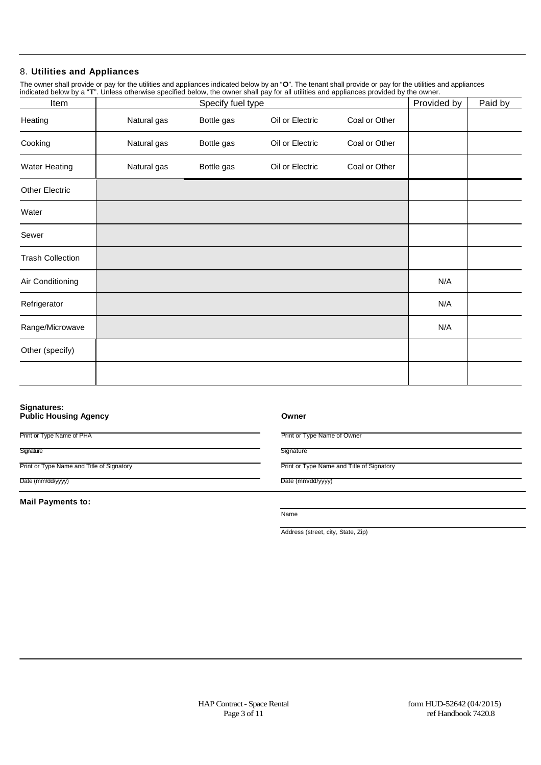#### 8. **Utilities and Appliances**

indicated below by a "**T**". Unless otherwise specified below, the owner shall pay for all utilities and appliances provided by the owner. Item | Specify fuel type Provided by Provided by Paid by Paid by Heating **Natural gas** Bottle gas Oil or Electric Coal or Other Cooking **Natural gas** Bottle gas Oil or Electric Coal or Other Water Heating | Natural gas Bottle gas Oil or Electric Coal or Other Other Electric **Water** Sewer Trash Collection Air Conditioning N/A Refrigerator N/A Range/Microwave National Communication of the Communication of the Communication of the Communication of the N/A Other (specify)

The owner shall provide or pay for the utilities and appliances indicated below by an "**O**". The tenant shall provide or pay for the utilities and appliances

#### **Signatures: Public Housing Agency Owner**

Signature Signature Signature Signature Signature Signature Signature Signature Signature Signature Signature

Date (mm/dd/yyyy) Date (mm/dd/yyyy)

**Mail Payments to:**

Print or Type Name of PHA **Print or Type Name of Owner** Print or Type Name of Owner

Print or Type Name and Title of Signatory **Print or Type Name and Title of Signatory** Print or Type Name and Title of Signatory

Name

Address (street, city, State, Zip)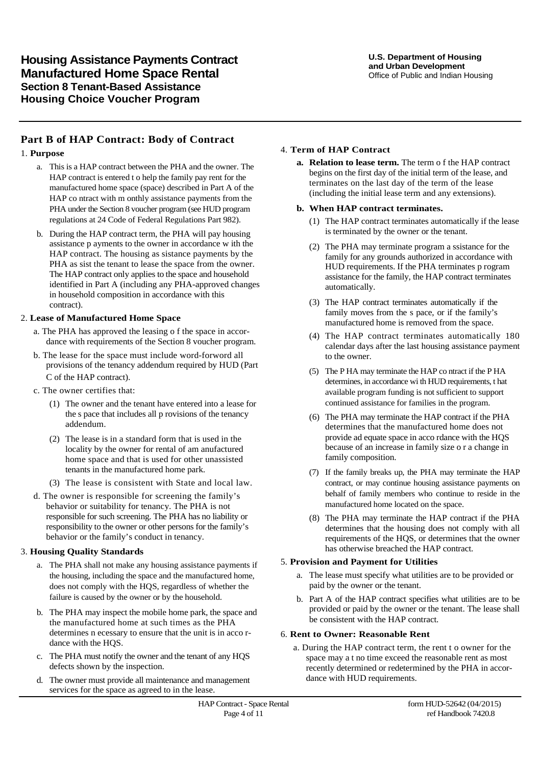# **Part B of HAP Contract: Body of Contract**

## 1. **Purpose**

- a. This is a HAP contract between the PHA and the owner. The HAP contract is entered t o help the family pay rent for the manufactured home space (space) described in Part A of the HAP co ntract with m onthly assistance payments from the PHA under the Section 8 voucher program (see HUD program regulations at 24 Code of Federal Regulations Part 982).
- b. During the HAP contract term, the PHA will pay housing assistance p ayments to the owner in accordance w ith the HAP contract. The housing as sistance payments by the PHA as sist the tenant to lease the space from the owner. The HAP contract only applies to the space and household identified in Part A (including any PHA-approved changes in household composition in accordance with this contract).

## 2. **Lease of Manufactured Home Space**

- a. The PHA has approved the leasing o f the space in accordance with requirements of the Section 8 voucher program.
- b. The lease for the space must include word-forword all provisions of the tenancy addendum required by HUD (Part C of the HAP contract).
- c. The owner certifies that:
	- (1) The owner and the tenant have entered into a lease for the s pace that includes all p rovisions of the tenancy addendum.
	- (2) The lease is in a standard form that is used in the locality by the owner for rental of am anufactured home space and that is used for other unassisted tenants in the manufactured home park.
	- (3) The lease is consistent with State and local law.
- d. The owner is responsible for screening the family's behavior or suitability for tenancy. The PHA is not responsible for such screening. The PHA has no liability or responsibility to the owner or other persons for the family's behavior or the family's conduct in tenancy.

# 3. **Housing Quality Standards**

- a. The PHA shall not make any housing assistance payments if the housing, including the space and the manufactured home, does not comply with the HQS, regardless of whether the failure is caused by the owner or by the household.
- b. The PHA may inspect the mobile home park, the space and the manufactured home at such times as the PHA determines n ecessary to ensure that the unit is in acco rdance with the HQS.
- c. The PHA must notify the owner and the tenant of any HQS defects shown by the inspection.
- d. The owner must provide all maintenance and management services for the space as agreed to in the lease.

## 4. **Term of HAP Contract**

**a. Relation to lease term.** The term o f the HAP contract begins on the first day of the initial term of the lease, and terminates on the last day of the term of the lease (including the initial lease term and any extensions).

## **b. When HAP contract terminates.**

- (1) The HAP contract terminates automatically if the lease is terminated by the owner or the tenant.
- (2) The PHA may terminate program a ssistance for the family for any grounds authorized in accordance with HUD requirements. If the PHA terminates p rogram assistance for the family, the HAP contract terminates automatically.
- (3) The HAP contract terminates automatically if the family moves from the s pace, or if the family's manufactured home is removed from the space.
- (4) The HAP contract terminates automatically 180 calendar days after the last housing assistance payment to the owner.
- (5) The P HA may terminate the HAP co ntract if the P HA determines, in accordance wi th HUD requirements, t hat available program funding is not sufficient to support continued assistance for families in the program.
- (6) The PHA may terminate the HAP contract if the PHA determines that the manufactured home does not provide ad equate space in acco rdance with the HQS because of an increase in family size o r a change in family composition.
- (7) If the family breaks up, the PHA may terminate the HAP contract, or may continue housing assistance payments on behalf of family members who continue to reside in the manufactured home located on the space.
- (8) The PHA may terminate the HAP contract if the PHA determines that the housing does not comply with all requirements of the HQS, or determines that the owner has otherwise breached the HAP contract.

## 5. **Provision and Payment for Utilities**

- a. The lease must specify what utilities are to be provided or paid by the owner or the tenant.
- b. Part A of the HAP contract specifies what utilities are to be provided or paid by the owner or the tenant. The lease shall be consistent with the HAP contract.

## 6. **Rent to Owner: Reasonable Rent**

a. During the HAP contract term, the rent t o owner for the space may a t no time exceed the reasonable rent as most recently determined or redetermined by the PHA in accordance with HUD requirements.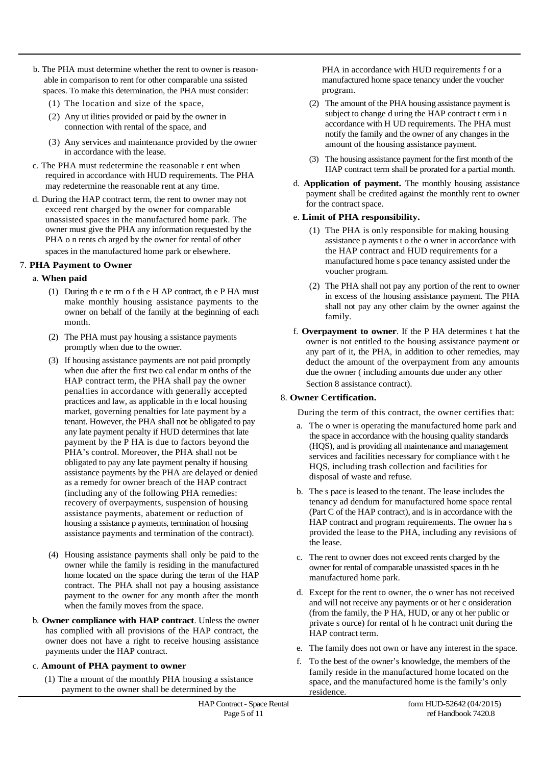- b. The PHA must determine whether the rent to owner is reasonable in comparison to rent for other comparable una ssisted spaces. To make this determination, the PHA must consider:
	- (1) The location and size of the space,
	- (2) Any ut ilities provided or paid by the owner in connection with rental of the space, and
	- (3) Any services and maintenance provided by the owner in accordance with the lease.
- c. The PHA must redetermine the reasonable r ent when required in accordance with HUD requirements. The PHA may redetermine the reasonable rent at any time.
- d. During the HAP contract term, the rent to owner may not exceed rent charged by the owner for comparable unassisted spaces in the manufactured home park. The owner must give the PHA any information requested by the PHA o n rents ch arged by the owner for rental of other spaces in the manufactured home park or elsewhere.

## 7. **PHA Payment to Owner**

#### a. **When paid**

- (1) During th e te rm o f th e H AP contract, th e P HA must make monthly housing assistance payments to the owner on behalf of the family at the beginning of each month.
- (2) The PHA must pay housing a ssistance payments promptly when due to the owner.
- (3) If housing assistance payments are not paid promptly when due after the first two cal endar m onths of the HAP contract term, the PHA shall pay the owner penalties in accordance with generally accepted practices and law, as applicable in th e local housing market, governing penalties for late payment by a tenant. However, the PHA shall not be obligated to pay any late payment penalty if HUD determines that late payment by the P HA is due to factors beyond the PHA's control. Moreover, the PHA shall not be obligated to pay any late payment penalty if housing assistance payments by the PHA are delayed or denied as a remedy for owner breach of the HAP contract (including any of the following PHA remedies: recovery of overpayments, suspension of housing assistance payments, abatement or reduction of housing a ssistance p ayments, termination of housing assistance payments and termination of the contract).
- (4) Housing assistance payments shall only be paid to the owner while the family is residing in the manufactured home located on the space during the term of the HAP contract. The PHA shall not pay a housing assistance payment to the owner for any month after the month when the family moves from the space.
- b. **Owner compliance with HAP contract**. Unless the owner has complied with all provisions of the HAP contract, the owner does not have a right to receive housing assistance payments under the HAP contract.

## c. **Amount of PHA payment to owner**

(1) The a mount of the monthly PHA housing a ssistance payment to the owner shall be determined by the

PHA in accordance with HUD requirements f or a manufactured home space tenancy under the voucher program.

- (2) The amount of the PHA housing assistance payment is subject to change d uring the HAP contract t erm i n accordance with H UD requirements. The PHA must notify the family and the owner of any changes in the amount of the housing assistance payment.
- (3) The housing assistance payment for the first month of the HAP contract term shall be prorated for a partial month.
- d. **Application of payment.** The monthly housing assistance payment shall be credited against the monthly rent to owner for the contract space.

#### e. **Limit of PHA responsibility.**

- (1) The PHA is only responsible for making housing assistance p ayments t o the o wner in accordance with the HAP contract and HUD requirements for a manufactured home s pace tenancy assisted under the voucher program.
- (2) The PHA shall not pay any portion of the rent to owner in excess of the housing assistance payment. The PHA shall not pay any other claim by the owner against the family.
- f. **Overpayment to owner**. If the P HA determines t hat the owner is not entitled to the housing assistance payment or any part of it, the PHA, in addition to other remedies, may deduct the amount of the overpayment from any amounts due the owner ( including amounts due under any other Section 8 assistance contract).

## 8. **Owner Certification.**

During the term of this contract, the owner certifies that:

- a. The o wner is operating the manufactured home park and the space in accordance with the housing quality standards (HQS), and is providing all maintenance and management services and facilities necessary for compliance with t he HQS, including trash collection and facilities for disposal of waste and refuse.
- b. The s pace is leased to the tenant. The lease includes the tenancy ad dendum for manufactured home space rental (Part C of the HAP contract), and is in accordance with the HAP contract and program requirements. The owner ha s provided the lease to the PHA, including any revisions of the lease.
- c. The rent to owner does not exceed rents charged by the owner for rental of comparable unassisted spacesin th he manufactured home park.
- d. Except for the rent to owner, the o wner has not received and will not receive any payments or ot her c onsideration (from the family, the P HA, HUD, or any ot her public or private s ource) for rental of h he contract unit during the HAP contract term.
- e. The family does not own or have any interest in the space.
- f. To the best of the owner's knowledge, the members of the family reside in the manufactured home located on the space, and the manufactured home is the family's only residence.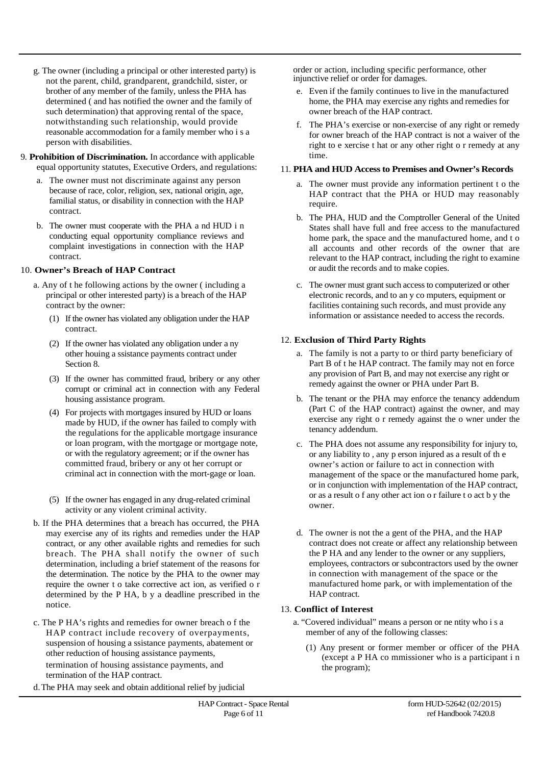- g. The owner (including a principal or other interested party) is not the parent, child, grandparent, grandchild, sister, or brother of any member of the family, unless the PHA has determined ( and has notified the owner and the family of such determination) that approving rental of the space, notwithstanding such relationship, would provide reasonable accommodation for a family member who i s a person with disabilities.
- 9. **Prohibition of Discrimination.** In accordance with applicable equal opportunity statutes, Executive Orders, and regulations:
	- a. The owner must not discriminate against any person because of race, color, religion, sex, national origin, age, familial status, or disability in connection with the HAP contract.
	- b. The owner must cooperate with the PHA a nd HUD i n conducting equal opportunity compliance reviews and complaint investigations in connection with the HAP contract.

## 10. **Owner's Breach of HAP Contract**

- a. Any of t he following actions by the owner ( including a principal or other interested party) is a breach of the HAP contract by the owner:
	- (1) If the owner has violated any obligation under the HAP contract.
	- (2) If the owner has violated any obligation under a ny other houing a ssistance payments contract under Section 8.
	- (3) If the owner has committed fraud, bribery or any other corrupt or criminal act in connection with any Federal housing assistance program.
	- (4) For projects with mortgages insured by HUD or loans made by HUD, if the owner has failed to comply with the regulations for the applicable mortgage insurance or loan program, with the mortgage or mortgage note, or with the regulatory agreement; or if the owner has committed fraud, bribery or any ot her corrupt or criminal act in connection with the mort-gage or loan.
	- (5) If the owner has engaged in any drug-related criminal activity or any violent criminal activity.
- b. If the PHA determines that a breach has occurred, the PHA may exercise any of its rights and remedies under the HAP contract, or any other available rights and remedies for such breach. The PHA shall notify the owner of such determination, including a brief statement of the reasons for the determination. The notice by the PHA to the owner may require the owner t o take corrective act ion, as verified o r determined by the P HA, b y a deadline prescribed in the notice.
- c. The P HA's rights and remedies for owner breach o f the HAP contract include recovery of overpayments, suspension of housing a ssistance payments, abatement or other reduction of housing assistance payments, termination of housing assistance payments, and termination of the HAP contract.
- d.The PHA may seek and obtain additional relief by judicial

order or action, including specific performance, other injunctive relief or order for damages.

- Even if the family continues to live in the manufactured home, the PHA may exercise any rights and remedies for owner breach of the HAP contract.
- f. The PHA's exercise or non-exercise of any right or remedy for owner breach of the HAP contract is not a waiver of the right to e xercise t hat or any other right o r remedy at any time.

## 11. **PHA and HUD Access to Premises and Owner's Records**

- a. The owner must provide any information pertinent t o the HAP contract that the PHA or HUD may reasonably require.
- b. The PHA, HUD and the Comptroller General of the United States shall have full and free access to the manufactured home park, the space and the manufactured home, and t o all accounts and other records of the owner that are relevant to the HAP contract, including the right to examine or audit the records and to make copies.
- c. The owner must grant such access to computerized or other electronic records, and to an y co mputers, equipment or facilities containing such records, and must provide any information or assistance needed to access the records.

# 12. **Exclusion of Third Party Rights**

- a. The family is not a party to or third party beneficiary of Part B of t he HAP contract. The family may not en force any provision of Part B, and may not exercise any right or remedy against the owner or PHA under Part B.
- b. The tenant or the PHA may enforce the tenancy addendum (Part C of the HAP contract) against the owner, and may exercise any right o r remedy against the o wner under the tenancy addendum.
- c. The PHA does not assume any responsibility for injury to, or any liability to , any p erson injured as a result of th e owner's action or failure to act in connection with management of the space or the manufactured home park, or in conjunction with implementation of the HAP contract, or as a result o f any other act ion o r failure t o act b y the owner.
- d. The owner is not the a gent of the PHA, and the HAP contract does not create or affect any relationship between the P HA and any lender to the owner or any suppliers, employees, contractors or subcontractors used by the owner in connection with management of the space or the manufactured home park, or with implementation of the HAP contract.

## 13. **Conflict of Interest**

- a. "Covered individual" means a person or ne ntity who i s a member of any of the following classes:
	- (1) Any present or former member or officer of the PHA (except a P HA co mmissioner who is a participant i n the program);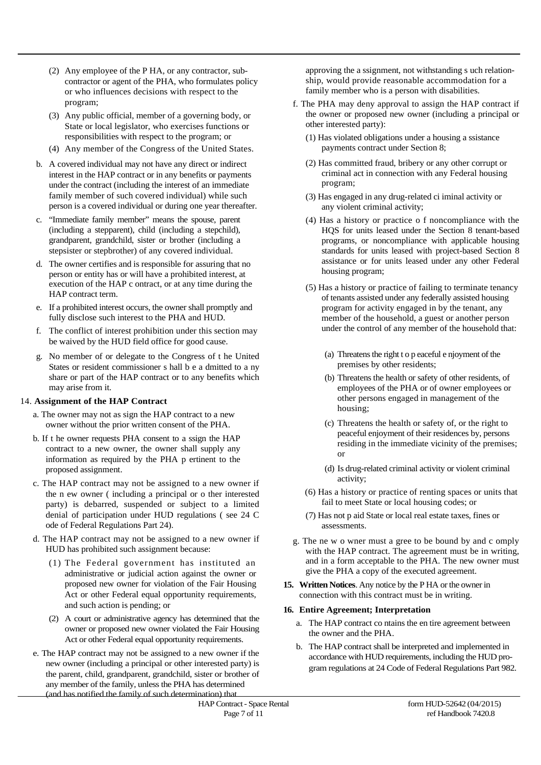- (2) Any employee of the P HA, or any contractor, subcontractor or agent of the PHA, who formulates policy or who influences decisions with respect to the program;
- (3) Any public official, member of a governing body, or State or local legislator, who exercises functions or responsibilities with respect to the program; or
- (4) Any member of the Congress of the United States.
- b. A covered individual may not have any direct or indirect interest in the HAP contract or in any benefits or payments under the contract (including the interest of an immediate family member of such covered individual) while such person is a covered individual or during one year thereafter.
- c. "Immediate family member" means the spouse, parent (including a stepparent), child (including a stepchild), grandparent, grandchild, sister or brother (including a stepsister or stepbrother) of any covered individual.
- d. The owner certifies and is responsible for assuring that no person or entity has or will have a prohibited interest, at execution of the HAP c ontract, or at any time during the HAP contract term.
- e. If a prohibited interest occurs, the owner shall promptly and fully disclose such interest to the PHA and HUD.
- f. The conflict of interest prohibition under this section may be waived by the HUD field office for good cause.
- g. No member of or delegate to the Congress of t he United States or resident commissioner s hall b e a dmitted to a ny share or part of the HAP contract or to any benefits which may arise from it.

## 14. **Assignment of the HAP Contract**

- a. The owner may not as sign the HAP contract to a new owner without the prior written consent of the PHA.
- b. If t he owner requests PHA consent to a ssign the HAP contract to a new owner, the owner shall supply any information as required by the PHA p ertinent to the proposed assignment.
- c. The HAP contract may not be assigned to a new owner if the n ew owner ( including a principal or o ther interested party) is debarred, suspended or subject to a limited denial of participation under HUD regulations ( see 24 C ode of Federal Regulations Part 24).
- d. The HAP contract may not be assigned to a new owner if HUD has prohibited such assignment because:
	- (1) The Federal government has instituted an administrative or judicial action against the owner or proposed new owner for violation of the Fair Housing Act or other Federal equal opportunity requirements, and such action is pending; or
	- (2) A court or administrative agency has determined that the owner or proposed new owner violated the Fair Housing Act or other Federal equal opportunity requirements.
- e. The HAP contract may not be assigned to a new owner if the new owner (including a principal or other interested party) is the parent, child, grandparent, grandchild, sister or brother of any member of the family, unless the PHA has determined (and has notified the family of such determination) that

approving the a ssignment, not withstanding s uch relationship, would provide reasonable accommodation for a family member who is a person with disabilities.

- f. The PHA may deny approval to assign the HAP contract if the owner or proposed new owner (including a principal or other interested party):
	- (1) Has violated obligations under a housing a ssistance payments contract under Section 8;
	- (2) Has committed fraud, bribery or any other corrupt or criminal act in connection with any Federal housing program;
	- (3) Has engaged in any drug-related ci iminal activity or any violent criminal activity;
	- (4) Has a history or practice o f noncompliance with the HQS for units leased under the Section 8 tenant-based programs, or noncompliance with applicable housing standards for units leased with project-based Section 8 assistance or for units leased under any other Federal housing program;
	- (5) Has a history or practice of failing to terminate tenancy of tenants assisted under any federally assisted housing program for activity engaged in by the tenant, any member of the household, a guest or another person under the control of any member of the household that:
		- (a) Threatens the right t o p eaceful e njoyment of the premises by other residents;
		- (b) Threatens the health or safety of other residents, of employees of the PHA or of owner employees or other persons engaged in management of the housing;
		- (c) Threatens the health or safety of, or the right to peaceful enjoyment of their residences by, persons residing in the immediate vicinity of the premises; or
		- (d) Is drug-related criminal activity or violent criminal activity;
	- (6) Has a history or practice of renting spaces or units that fail to meet State or local housing codes; or
	- (7) Has not p aid State or local real estate taxes, fines or assessments.
- g. The ne w o wner must a gree to be bound by and c omply with the HAP contract. The agreement must be in writing, and in a form acceptable to the PHA. The new owner must give the PHA a copy of the executed agreement.
- **15. Written Notices**. Any notice by the P HA or the ownerin connection with this contract must be in writing.

## **16. Entire Agreement; Interpretation**

- a. The HAP contract co ntains the en tire agreement between the owner and the PHA.
- b. The HAP contract shall be interpreted and implemented in accordance with HUD requirements, including the HUD program regulations at 24 Code of Federal Regulations Part 982.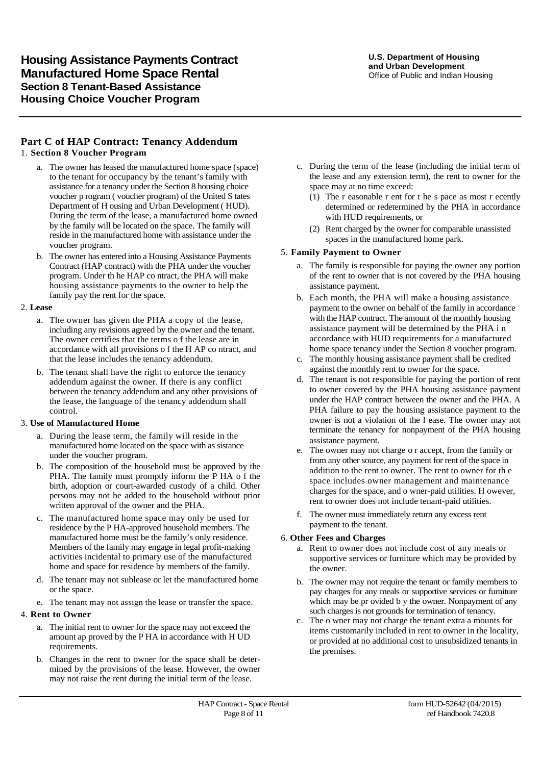#### **Part C of HAP Contract: Tenancy Addendum** 1. **Section 8 Voucher Program**

- a. The owner has leased the manufactured home space (space) to the tenant for occupancy by the tenant's family with assistance for a tenancy under the Section 8 housing choice voucher p rogram ( voucher program) of the United S tates Department of H ousing and Urban Development ( HUD). During the term of the lease, a manufactured home owned by the family will be located on the space. The family will reside in the manufactured home with assistance under the voucher program.
- b. The owner has entered into a Housing Assistance Payments Contract (HAP contract) with the PHA under the voucher program. Under th he HAP co ntract, the PHA will make housing assistance payments to the owner to help the family pay the rent for the space.

#### 2. **Lease**

- a. The owner has given the PHA a copy of the lease, including any revisions agreed by the owner and the tenant. The owner certifies that the terms o f the lease are in accordance with all provisions o f the H AP co ntract, and that the lease includes the tenancy addendum.
- b. The tenant shall have the right to enforce the tenancy addendum against the owner. If there is any conflict between the tenancy addendum and any other provisions of the lease, the language of the tenancy addendum shall control.

## 3. **Use of Manufactured Home**

- a. During the lease term, the family will reside in the manufactured home located on the space with as sistance under the voucher program.
- b. The composition of the household must be approved by the PHA. The family must promptly inform the P HA o f the birth, adoption or court-awarded custody of a child. Other persons may not be added to the household without prior written approval of the owner and the PHA.
- c. The manufactured home space may only be used for residence by the P HA-approved household members. The manufactured home must be the family's only residence. Members of the family may engage in legal profit-making activities incidental to primary use of the manufactured home and space for residence by members of the family.
- d. The tenant may not sublease or let the manufactured home or the space.
- e. The tenant may not assign the lease or transfer the space.

## 4. **Rent to Owner**

- a. The initial rent to owner for the space may not exceed the amount ap proved by the P HA in accordance with H UD requirements.
- b. Changes in the rent to owner for the space shall be determined by the provisions of the lease. However, the owner may not raise the rent during the initial term of the lease.
- c. During the term of the lease (including the initial term of the lease and any extension term), the rent to owner for the space may at no time exceed:
	- (1) The r easonable r ent for t he s pace as most r ecently determined or redetermined by the PHA in accordance with HUD requirements, or
	- (2) Rent charged by the owner for comparable unassisted spaces in the manufactured home park.

# 5. **Family Payment to Owner**

- a. The family is responsible for paying the owner any portion of the rent to owner that is not covered by the PHA housing assistance payment.
- b. Each month, the PHA will make a housing assistance payment to the owner on behalf of the family in accordance with the HAP contract. The amount of the monthly housing assistance payment will be determined by the PHA i n accordance with HUD requirements for a manufactured home space tenancy under the Section 8 voucher program.
- c. The monthly housing assistance payment shall be credited against the monthly rent to owner for the space.
- d. The tenant is not responsible for paying the portion of rent to owner covered by the PHA housing assistance payment under the HAP contract between the owner and the PHA. A PHA failure to pay the housing assistance payment to the owner is not a violation of the l ease. The owner may not terminate the tenancy for nonpayment of the PHA housing assistance payment.
- e. The owner may not charge o r accept, from the family or from any other source, any payment for rent of the space in addition to the rent to owner. The rent to owner for th e space includes owner management and maintenance charges for the space, and o wner-paid utilities. H owever, rent to owner does not include tenant-paid utilities.
- f. The owner must immediately return any excess rent payment to the tenant.

# 6. **Other Fees and Charges**

- a. Rent to owner does not include cost of any meals or supportive services or furniture which may be provided by the owner.
- b. The owner may not require the tenant or family members to pay charges for any meals or supportive services or furniture which may be pr ovided b y the owner. Nonpayment of any such charges is not grounds for termination of tenancy.
- c. The o wner may not charge the tenant extra a mounts for items customarily included in rent to owner in the locality, or provided at no additional cost to unsubsidized tenants in the premises.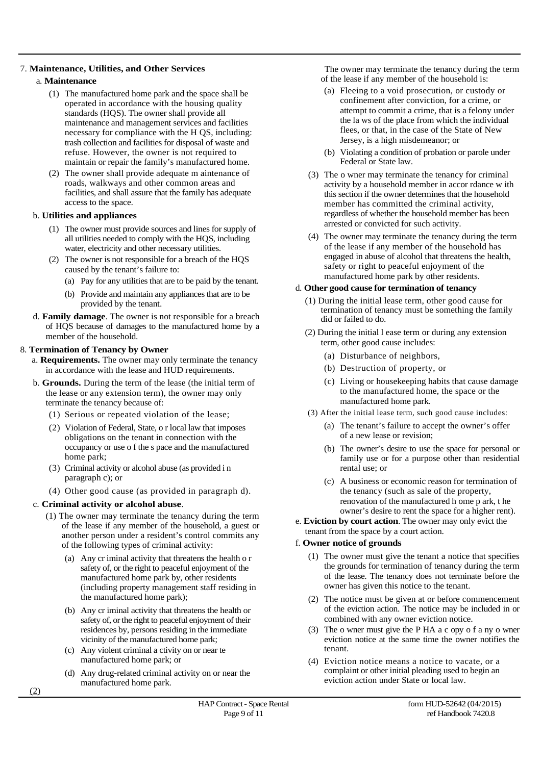#### 7. **Maintenance, Utilities, and Other Services**

#### a. **Maintenance**

- (1) The manufactured home park and the space shall be operated in accordance with the housing quality standards (HQS). The owner shall provide all maintenance and management services and facilities necessary for compliance with the H QS, including: trash collection and facilities for disposal of waste and refuse. However, the owner is not required to maintain or repair the family's manufactured home.
- (2) The owner shall provide adequate m aintenance of roads, walkways and other common areas and facilities, and shall assure that the family has adequate access to the space.

#### b. **Utilities and appliances**

- (1) The owner must provide sources and lines forsupply of all utilities needed to comply with the HQS, including water, electricity and other necessary utilities.
- (2) The owner is not responsible for a breach of the HQS caused by the tenant's failure to:
	- (a) Pay for any utilities that are to be paid by the tenant.
	- (b) Provide and maintain any appliances that are to be provided by the tenant.
- d. **Family damage**. The owner is not responsible for a breach of HQS because of damages to the manufactured home by a member of the household.

#### 8. **Termination of Tenancy by Owner**

- a. **Requirements.** The owner may only terminate the tenancy in accordance with the lease and HUD requirements.
- b. **Grounds.** During the term of the lease (the initial term of the lease or any extension term), the owner may only terminate the tenancy because of:
	- (1) Serious or repeated violation of the lease;
	- (2) Violation of Federal, State, o r local law that imposes obligations on the tenant in connection with the occupancy or use o f the s pace and the manufactured home park;
	- (3) Criminal activity or alcohol abuse (as provided i n paragraph c); or
	- (4) Other good cause (as provided in paragraph d).

#### c. **Criminal activity or alcohol abuse**.

- (1) The owner may terminate the tenancy during the term of the lease if any member of the household, a guest or another person under a resident's control commits any of the following types of criminal activity:
	- (a) Any cr iminal activity that threatens the health o r safety of, or the right to peaceful enjoyment of the manufactured home park by, other residents (including property management staff residing in the manufactured home park);
	- (b) Any cr iminal activity that threatens the health or safety of, or the right to peaceful enjoyment of their residences by, persons residing in the immediate vicinity of the manufactured home park;
	- (c) Any violent criminal a ctivity on or near te manufactured home park; or
	- (d) Any drug-related criminal activity on or near the manufactured home park.

The owner may terminate the tenancy during the term of the lease if any member of the household is:

- (a) Fleeing to a void prosecution, or custody or confinement after conviction, for a crime, or attempt to commit a crime, that is a felony under the la ws of the place from which the individual flees, or that, in the case of the State of New Jersey, is a high misdemeanor; or
- (b) Violating a condition of probation or parole under Federal or State law.
- (3) The o wner may terminate the tenancy for criminal activity by a household member in accor rdance w ith this section if the owner determines that the household member has committed the criminal activity, regardless of whether the household member has been arrested or convicted for such activity.
- (4) The owner may terminate the tenancy during the term of the lease if any member of the household has engaged in abuse of alcohol that threatens the health, safety or right to peaceful enjoyment of the manufactured home park by other residents.

#### d. **Other good cause for termination of tenancy**

- (1) During the initial lease term, other good cause for termination of tenancy must be something the family did or failed to do.
- (2) During the initial l ease term or during any extension term, other good cause includes:
	- (a) Disturbance of neighbors,
	- (b) Destruction of property, or
	- (c) Living or housekeeping habits that cause damage to the manufactured home, the space or the manufactured home park.
- (3) After the initial lease term, such good cause includes:
	- (a) The tenant's failure to accept the owner's offer of a new lease or revision;
	- (b) The owner's desire to use the space for personal or family use or for a purpose other than residential rental use; or
	- (c) A business or economic reason for termination of the tenancy (such as sale of the property, renovation of the manufactured h ome p ark, t he owner's desire to rent the space for a higher rent).
- e. **Eviction by court action**. The owner may only evict the tenant from the space by a court action.

## f. **Owner notice of grounds**

- (1) The owner must give the tenant a notice that specifies the grounds for termination of tenancy during the term of the lease. The tenancy does not terminate before the owner has given this notice to the tenant.
- (2) The notice must be given at or before commencement of the eviction action. The notice may be included in or combined with any owner eviction notice.
- (3) The o wner must give the P HA a c opy o f a ny o wner eviction notice at the same time the owner notifies the tenant.
- (4) Eviction notice means a notice to vacate, or a complaint or other initial pleading used to begin an eviction action under State or local law.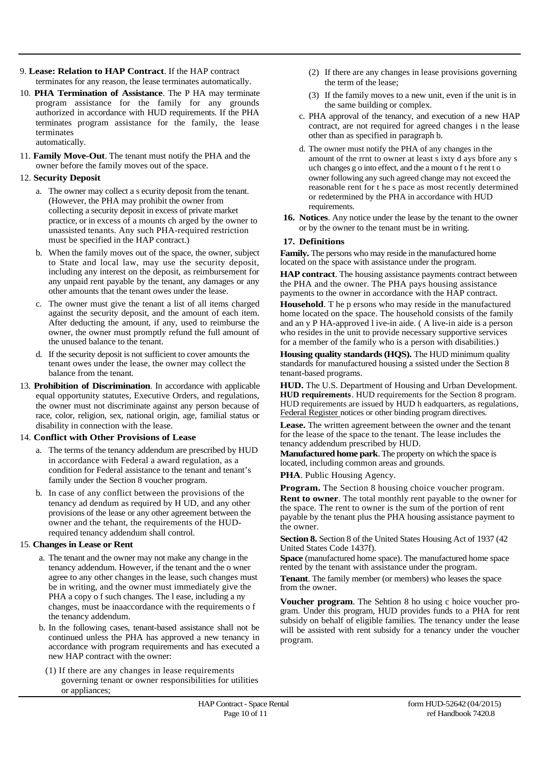- 9. **Lease: Relation to HAP Contract**. If the HAP contract terminates for any reason, the lease terminates automatically.
- 10. **PHA Termination of Assistance**. The P HA may terminate program assistance for the family for any grounds authorized in accordance with HUD requirements. If the PHA terminates program assistance for the family, the lease terminates automatically.
- 11. **Family Move-Out**. The tenant must notify the PHA and the owner before the family moves out of the space.

## 12. **Security Deposit**

- a. The owner may collect a s ecurity deposit from the tenant. (However, the PHA may prohibit the owner from collecting a security deposit in excess of private market practice, or in excess of a mounts ch arged by the owner to unassisted tenants. Any such PHA-required restriction must be specified in the HAP contract.)
- b. When the family moves out of the space, the owner, subject to State and local law, may use the security deposit, including any interest on the deposit, as reimbursement for any unpaid rent payable by the tenant, any damages or any other amounts that the tenant owes under the lease.
- c. The owner must give the tenant a list of all items charged against the security deposit, and the amount of each item. After deducting the amount, if any, used to reimburse the owner, the owner must promptly refund the full amount of the unused balance to the tenant.
- d. If the security deposit is not sufficient to cover amounts the tenant owes under the lease, the owner may collect the balance from the tenant.
- 13. **Prohibition of Discrimination**. In accordance with applicable equal opportunity statutes, Executive Orders, and regulations, the owner must not discriminate against any person because of race, color, religion, sex, national origin, age, familial status or disability in connection with the lease.

# 14. **Conflict with Other Provisions of Lease**

- a. The terms of the tenancy addendum are prescribed by HUD in accordance with Federal a award regulation, as a condition for Federal assistance to the tenant and tenant's family under the Section 8 voucher program.
- b. In case of any conflict between the provisions of the tenancy ad dendum as required by  $\hat{H}$  UD, and any other provisions of the lease or any other agreement between the owner and the tehant, the requirements of the HUDrequired tenancy addendum shall control.

## 15. **Changes in Lease or Rent**

- a. The tenant and the owner may not make any change in the tenancy addendum. However, if the tenant and the o wner agree to any other changes in the lease, such changes must be in writing, and the owner must immediately give the PHA a copy o f such changes. The l ease, including a ny changes, must be inaaccordance with the requirements o f the tenancy addendum.
- b. In the following cases, tenant-based assistance shall not be continued unless the PHA has approved a new tenancy in accordance with program requirements and has executed a new HAP contract with the owner:
	- (1) If there are any changes in lease requirements governing tenant or owner responsibilities for utilities or appliances;
- (2) If there are any changes in lease provisions governing the term of the lease;
- (3) If the family moves to a new unit, even if the unit is in the same building or complex.
- c. PHA approval of the tenancy, and execution of a new HAP contract, are not required for agreed changes i n the lease other than as specified in paragraph b.
- d. The owner must notify the PHA of any changes in the amount of the rrnt to owner at least s ixty d ays bfore any s uch changes g o into effect, and the a mount o f t he rent t o owner following any such agreed change may not exceed the reasonable rent for t he s pace as most recently determined or redetermined by the PHA in accordance with HUD requirements.
- **16. Notices**. Any notice under the lease by the tenant to the owner or by the owner to the tenant must be in writing.

# **17. Definitions**

**Family.** The persons who may reside in the manufactured home located on the space with assistance under the program.

**HAP contract**. The housing assistance payments contract between the PHA and the owner. The PHA pays housing assistance payments to the owner in accordance with the HAP contract. **Household**. T he p ersons who may reside in the manufactured home located on the space. The household consists of the family and an y P HA-approved l ive-in aide. ( A live-in aide is a person who resides in the unit to provide necessary supportive services for a member of the family who is a person with disabilities.)

**Housing quality standards(HQS).** The HUD minimum quality standards for manufactured housing a ssisted under the Section 8 tenant-based programs.

**HUD.** The U.S. Department of Housing and Urban Development. **HUD requirements**. HUD requirements for the Section 8 program. HUD requirements are issued by HUD h eadquarters, as regulations, Federal Register notices or other binding program directives.

**Lease.** The written agreement between the owner and the tenant for the lease of the space to the tenant. The lease includes the tenancy addendum prescribed by HUD.

**Manufactured home park**. The property on which the space is located, including common areas and grounds.

**PHA**. Public Housing Agency.

**Program.** The Section 8 housing choice voucher program. **Rent to owner**. The total monthly rent payable to the owner for the space. The rent to owner is the sum of the portion of rent payable by the tenant plus the PHA housing assistance payment to the owner.

**Section 8.** Section 8 of the United States Housing Act of 1937 (42 United States Code 1437f).

**Space** (manufactured home space). The manufactured home space rented by the tenant with assistance under the program.

**Tenant**. The family member (or members) who leases the space from the owner.

**Voucher program**. The Sehtion 8 ho using c hoice voucher program. Under this program, HUD provides funds to a PHA for rent subsidy on behalf of eligible families. The tenancy under the lease will be assisted with rent subsidy for a tenancy under the voucher program.